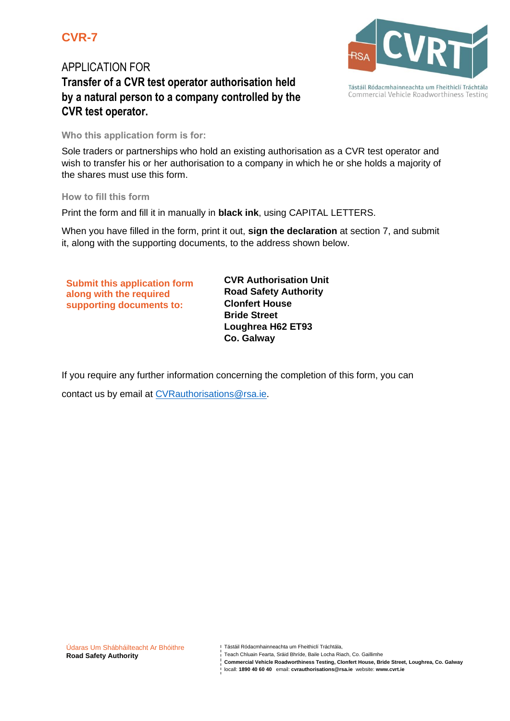## **CVR-7**

## APPLICATION FOR **Transfer of a CVR test operator authorisation held by a natural person to a company controlled by the CVR test operator.**

### **Who this application form is for:**

Sole traders or partnerships who hold an existing authorisation as a CVR test operator and wish to transfer his or her authorisation to a company in which he or she holds a majority of the shares must use this form.

### **How to fill this form**

Print the form and fill it in manually in **black ink**, using CAPITAL LETTERS.

When you have filled in the form, print it out, **sign the declaration** at section 7, and submit it, along with the supporting documents, to the address shown below.

**Submit this application form along with the required supporting documents to:**

**CVR Authorisation Unit Road Safety Authority Clonfert House Bride Street Loughrea H62 ET93 Co. Galway**

If you require any further information concerning the completion of this form, you can

contact us by email at CVRauthorisations@rsa.ie.



Teach Chluain Fearta, Sráid Bhríde, Baile Locha Riach, Co. Gaillimhe

locall: **1890 40 60 40** email: **cvrauthorisations@rsa.ie** website: **www.cvrt.ie**



Tástáil Ródacmhainneachta um Fheithiclí Tráchtála Commercial Vehicle Roadworthiness Testing

**Commercial Vehicle Roadworthiness Testing, Clonfert House, Bride Street, Loughrea, Co. Galway**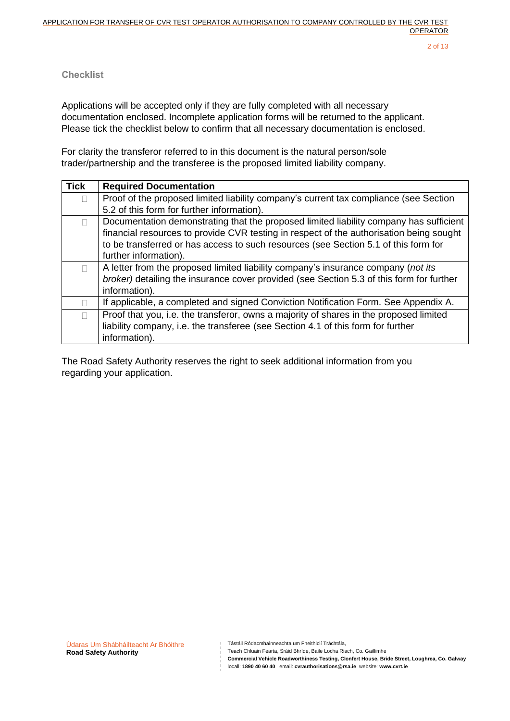### **Checklist**

Applications will be accepted only if they are fully completed with all necessary documentation enclosed. Incomplete application forms will be returned to the applicant. Please tick the checklist below to confirm that all necessary documentation is enclosed.

For clarity the transferor referred to in this document is the natural person/sole trader/partnership and the transferee is the proposed limited liability company.

| <b>Tick</b> | <b>Required Documentation</b>                                                            |
|-------------|------------------------------------------------------------------------------------------|
|             | Proof of the proposed limited liability company's current tax compliance (see Section    |
|             | 5.2 of this form for further information).                                               |
|             | Documentation demonstrating that the proposed limited liability company has sufficient   |
|             | financial resources to provide CVR testing in respect of the authorisation being sought  |
|             | to be transferred or has access to such resources (see Section 5.1 of this form for      |
|             | further information).                                                                    |
|             | A letter from the proposed limited liability company's insurance company (not its        |
|             | broker) detailing the insurance cover provided (see Section 5.3 of this form for further |
|             | information).                                                                            |
|             | If applicable, a completed and signed Conviction Notification Form. See Appendix A.      |
|             | Proof that you, i.e. the transferor, owns a majority of shares in the proposed limited   |
|             | liability company, i.e. the transferee (see Section 4.1 of this form for further         |
|             | information).                                                                            |

The Road Safety Authority reserves the right to seek additional information from you regarding your application.

Tástáil Ródacmhainneachta um Fheithiclí Tráchtála,

Teach Chluain Fearta, Sráid Bhríde, Baile Locha Riach, Co. Gaillimhe

**Commercial Vehicle Roadworthiness Testing, Clonfert House, Bride Street, Loughrea, Co. Galway**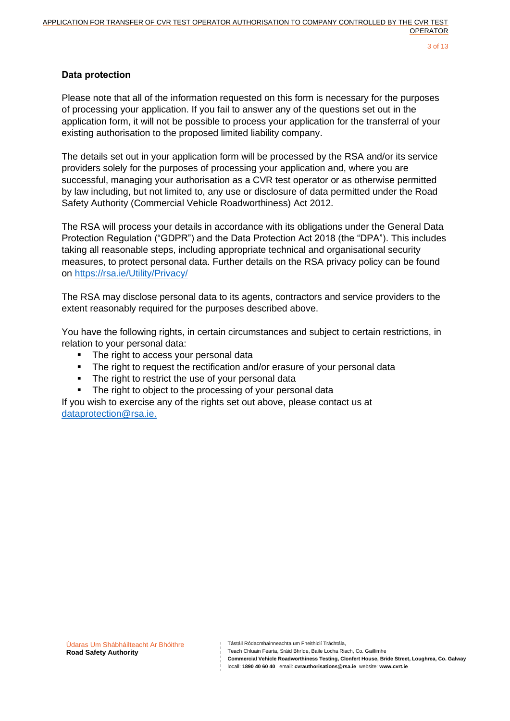### **Data protection**

Please note that all of the information requested on this form is necessary for the purposes of processing your application. If you fail to answer any of the questions set out in the application form, it will not be possible to process your application for the transferral of your existing authorisation to the proposed limited liability company.

The details set out in your application form will be processed by the RSA and/or its service providers solely for the purposes of processing your application and, where you are successful, managing your authorisation as a CVR test operator or as otherwise permitted by law including, but not limited to, any use or disclosure of data permitted under the Road Safety Authority (Commercial Vehicle Roadworthiness) Act 2012.

The RSA will process your details in accordance with its obligations under the General Data Protection Regulation ("GDPR") and the Data Protection Act 2018 (the "DPA"). This includes taking all reasonable steps, including appropriate technical and organisational security measures, to protect personal data. Further details on the RSA privacy policy can be found on<https://rsa.ie/Utility/Privacy/>

The RSA may disclose personal data to its agents, contractors and service providers to the extent reasonably required for the purposes described above.

You have the following rights, in certain circumstances and subject to certain restrictions, in relation to your personal data:

- The right to access your personal data
- **•** The right to request the rectification and/or erasure of your personal data
- **·** The right to restrict the use of your personal data
- The right to object to the processing of your personal data

If you wish to exercise any of the rights set out above, please contact us at dataprotection@rsa.ie.

Údaras Um Shábháilteacht Ar Bhóithre **Road Safety Authority**

Tástáil Ródacmhainneachta um Fheithiclí Tráchtála,

Teach Chluain Fearta, Sráid Bhríde, Baile Locha Riach, Co. Gaillimhe

**Commercial Vehicle Roadworthiness Testing, Clonfert House, Bride Street, Loughrea, Co. Galway**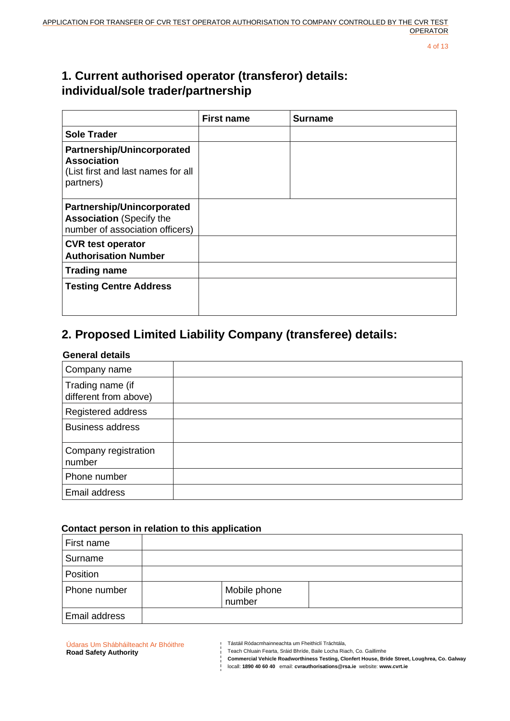4 of 13

## **1. Current authorised operator (transferor) details: individual/sole trader/partnership**

|                                                                                                  | <b>First name</b> | Surname |
|--------------------------------------------------------------------------------------------------|-------------------|---------|
| <b>Sole Trader</b>                                                                               |                   |         |
| Partnership/Unincorporated<br>Association<br>(List first and last names for all<br>partners)     |                   |         |
| Partnership/Unincorporated<br><b>Association (Specify the</b><br>number of association officers) |                   |         |
| <b>CVR test operator</b><br><b>Authorisation Number</b>                                          |                   |         |
| <b>Trading name</b>                                                                              |                   |         |
| <b>Testing Centre Address</b>                                                                    |                   |         |

# **2. Proposed Limited Liability Company (transferee) details:**

### **General details**

| Company name                              |  |
|-------------------------------------------|--|
| Trading name (if<br>different from above) |  |
| Registered address                        |  |
| <b>Business address</b>                   |  |
| Company registration<br>number            |  |
| Phone number                              |  |
| Email address                             |  |

### **Contact person in relation to this application**

| First name    |                        |  |
|---------------|------------------------|--|
| Surname       |                        |  |
| Position      |                        |  |
| Phone number  | Mobile phone<br>number |  |
| Email address |                        |  |

Údaras Um Shábháilteacht Ar Bhóithre **Road Safety Authority**

I Tástáil Ródacmhainneachta um Fheithiclí Tráchtála,<br>I Teach Chluain Fearta, Carrian i Theithiclí Tráchtála, Teach Chluain Fearta, Sráid Bhríde, Baile Locha Riach, Co. Gaillimhe

**Commercial Vehicle Roadworthiness Testing, Clonfert House, Bride Street, Loughrea, Co. Galway**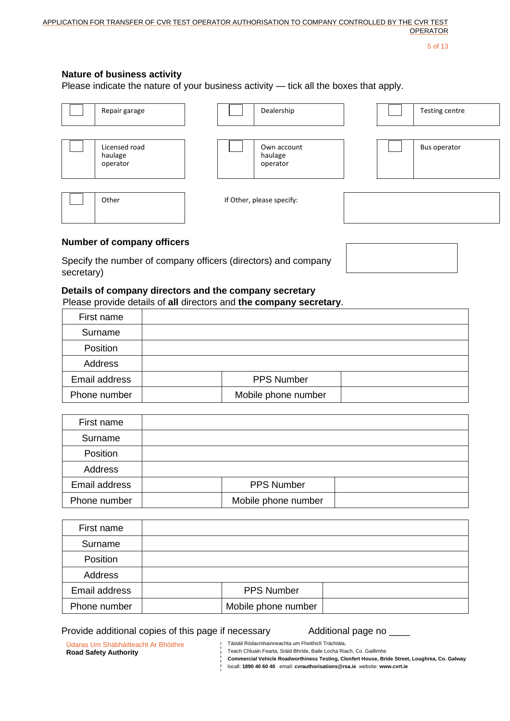5 of 13

### **Nature of business activity**

Please indicate the nature of your business activity — tick all the boxes that apply.

| Repair garage                        |  | Dealership                         |  | Testing centre |
|--------------------------------------|--|------------------------------------|--|----------------|
| Licensed road<br>haulage<br>operator |  | Own account<br>haulage<br>operator |  | Bus operator   |
| Other                                |  | If Other, please specify:          |  |                |

### **Number of company officers**

Specify the number of company officers (directors) and company secretary)

### **Details of company directors and the company secretary**

Please provide details of **all** directors and **the company secretary**.

| First name    |                     |  |
|---------------|---------------------|--|
| Surname       |                     |  |
| Position      |                     |  |
| Address       |                     |  |
| Email address | <b>PPS Number</b>   |  |
| Phone number  | Mobile phone number |  |

| First name    |                     |  |
|---------------|---------------------|--|
| Surname       |                     |  |
| Position      |                     |  |
| Address       |                     |  |
| Email address | <b>PPS Number</b>   |  |
| Phone number  | Mobile phone number |  |

| First name    |                     |  |
|---------------|---------------------|--|
| Surname       |                     |  |
| Position      |                     |  |
| Address       |                     |  |
| Email address | PPS Number          |  |
| Phone number  | Mobile phone number |  |

### Provide additional copies of this page if necessary Additional page no \_

Tástáil Ródacmhainneachta um Fheithiclí Tráchtála,

Údaras Um Shábháilteacht Ar Bhóithre **Road Safety Authority**

Teach Chluain Fearta, Sráid Bhríde, Baile Locha Riach, Co. Gaillimhe

**Commercial Vehicle Roadworthiness Testing, Clonfert House, Bride Street, Loughrea, Co. Galway**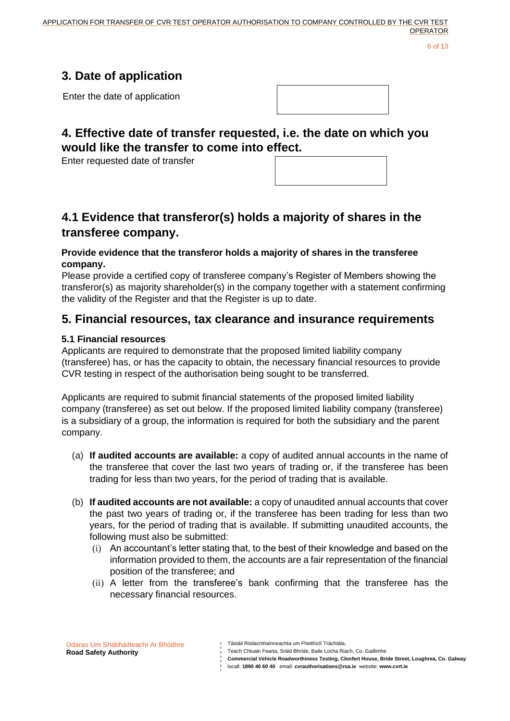6 of 13

# **3. Date of application**

Enter the date of application

## **4. Effective date of transfer requested, i.e. the date on which you would like the transfer to come into effect.**

Enter requested date of transfer

## **4.1 Evidence that transferor(s) holds a majority of shares in the transferee company.**

### **Provide evidence that the transferor holds a majority of shares in the transferee company.**

Please provide a certified copy of transferee company's Register of Members showing the transferor(s) as majority shareholder(s) in the company together with a statement confirming the validity of the Register and that the Register is up to date.

## **5. Financial resources, tax clearance and insurance requirements**

### **5.1 Financial resources**

Applicants are required to demonstrate that the proposed limited liability company (transferee) has, or has the capacity to obtain, the necessary financial resources to provide CVR testing in respect of the authorisation being sought to be transferred.

Applicants are required to submit financial statements of the proposed limited liability company (transferee) as set out below. If the proposed limited liability company (transferee) is a subsidiary of a group, the information is required for both the subsidiary and the parent company.

- (a) **If audited accounts are available:** a copy of audited annual accounts in the name of the transferee that cover the last two years of trading or, if the transferee has been trading for less than two years, for the period of trading that is available.
- (b) **If audited accounts are not available:** a copy of unaudited annual accounts that cover the past two years of trading or, if the transferee has been trading for less than two years, for the period of trading that is available. If submitting unaudited accounts, the following must also be submitted:
	- (i) An accountant's letter stating that, to the best of their knowledge and based on the information provided to them, the accounts are a fair representation of the financial position of the transferee; and
	- (ii) A letter from the transferee's bank confirming that the transferee has the necessary financial resources.

Tástáil Ródacmhainneachta um Fheithiclí Tráchtála,

Teach Chluain Fearta, Sráid Bhríde, Baile Locha Riach, Co. Gaillimhe

**Commercial Vehicle Roadworthiness Testing, Clonfert House, Bride Street, Loughrea, Co. Galway**

locall: **1890 40 60 40** email: **cvrauthorisations@rsa.ie** website: **www.cvrt.ie**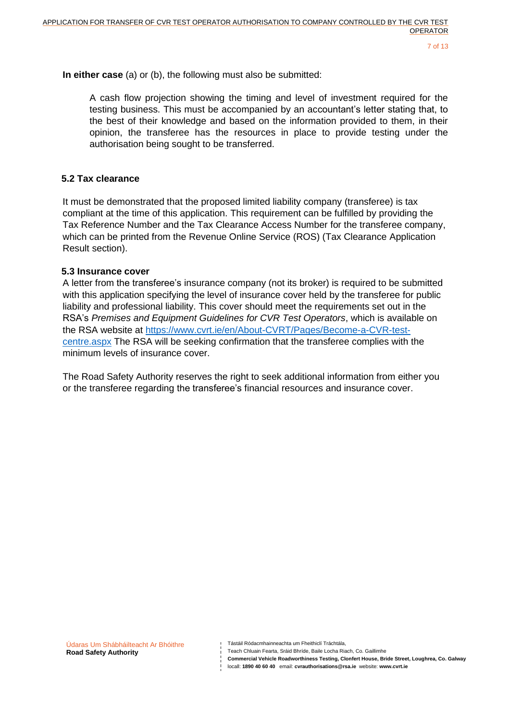**In either case** (a) or (b), the following must also be submitted:

A cash flow projection showing the timing and level of investment required for the testing business. This must be accompanied by an accountant's letter stating that, to the best of their knowledge and based on the information provided to them, in their opinion, the transferee has the resources in place to provide testing under the authorisation being sought to be transferred.

### **5.2 Tax clearance**

It must be demonstrated that the proposed limited liability company (transferee) is tax compliant at the time of this application. This requirement can be fulfilled by providing the Tax Reference Number and the Tax Clearance Access Number for the transferee company, which can be printed from the Revenue Online Service (ROS) (Tax Clearance Application Result section).

### **5.3 Insurance cover**

A letter from the transferee's insurance company (not its broker) is required to be submitted with this application specifying the level of insurance cover held by the transferee for public liability and professional liability. This cover should meet the requirements set out in the RSA's *Premises and Equipment Guidelines for CVR Test Operators*, which is available on the RSA website at https://www.cvrt.ie/en/About-CVRT/Pages/Become-a-CVR-testcentre.aspx The RSA will be seeking confirmation that the transferee complies with the minimum levels of insurance cover.

The Road Safety Authority reserves the right to seek additional information from either you or the transferee regarding the transferee's financial resources and insurance cover.

Tástáil Ródacmhainneachta um Fheithiclí Tráchtála,

Teach Chluain Fearta, Sráid Bhríde, Baile Locha Riach, Co. Gaillimhe

**Commercial Vehicle Roadworthiness Testing, Clonfert House, Bride Street, Loughrea, Co. Galway**

locall: **1890 40 60 40** email: **cvrauthorisations@rsa.ie** website: **www.cvrt.ie**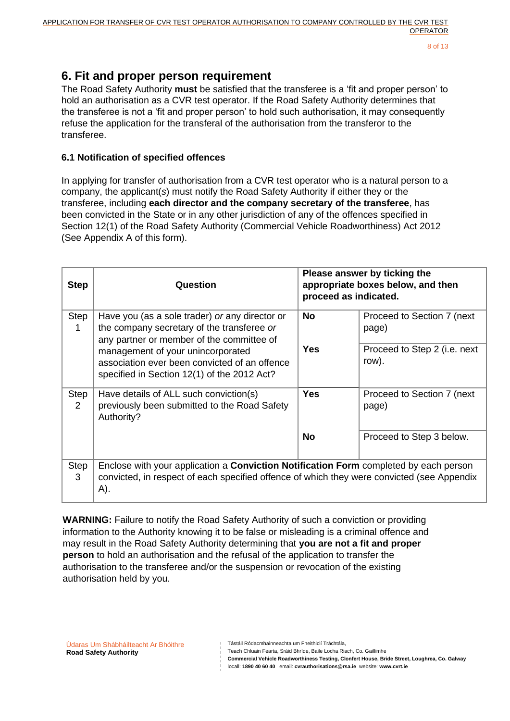## **6. Fit and proper person requirement**

The Road Safety Authority **must** be satisfied that the transferee is a 'fit and proper person' to hold an authorisation as a CVR test operator. If the Road Safety Authority determines that the transferee is not a 'fit and proper person' to hold such authorisation, it may consequently refuse the application for the transferal of the authorisation from the transferor to the transferee.

### **6.1 Notification of specified offences**

In applying for transfer of authorisation from a CVR test operator who is a natural person to a company, the applicant(*s*) must notify the Road Safety Authority if either they or the transferee, including **each director and the company secretary of the transferee**, has been convicted in the State or in any other jurisdiction of any of the offences specified in Section 12(1) of the Road Safety Authority (Commercial Vehicle Roadworthiness) Act 2012 (See Appendix A of this form).

| <b>Step</b>                                                                                                                       | Question                                                                                                                                                                                          | proceed as indicated. | Please answer by ticking the<br>appropriate boxes below, and then |
|-----------------------------------------------------------------------------------------------------------------------------------|---------------------------------------------------------------------------------------------------------------------------------------------------------------------------------------------------|-----------------------|-------------------------------------------------------------------|
| Step<br>1                                                                                                                         | Have you (as a sole trader) or any director or<br>the company secretary of the transferee or<br>any partner or member of the committee of                                                         | <b>No</b>             | Proceed to Section 7 (next)<br>page)                              |
| management of your unincorporated<br>association ever been convicted of an offence<br>specified in Section 12(1) of the 2012 Act? |                                                                                                                                                                                                   | Yes                   | Proceed to Step 2 (i.e. next<br>row).                             |
| Step<br>$\mathcal{P}$                                                                                                             | Have details of ALL such conviction(s)<br>previously been submitted to the Road Safety<br>Authority?                                                                                              | Yes                   | Proceed to Section 7 (next)<br>page)                              |
|                                                                                                                                   |                                                                                                                                                                                                   | No                    | Proceed to Step 3 below.                                          |
| Step<br>3                                                                                                                         | Enclose with your application a <b>Conviction Notification Form</b> completed by each person<br>convicted, in respect of each specified offence of which they were convicted (see Appendix<br>A). |                       |                                                                   |

**WARNING:** Failure to notify the Road Safety Authority of such a conviction or providing information to the Authority knowing it to be false or misleading is a criminal offence and may result in the Road Safety Authority determining that **you are not a fit and proper person** to hold an authorisation and the refusal of the application to transfer the authorisation to the transferee and/or the suspension or revocation of the existing authorisation held by you.

Tástáil Ródacmhainneachta um Fheithiclí Tráchtála,

Teach Chluain Fearta, Sráid Bhríde, Baile Locha Riach, Co. Gaillimhe

**Commercial Vehicle Roadworthiness Testing, Clonfert House, Bride Street, Loughrea, Co. Galway**

locall: **1890 40 60 40** email: **cvrauthorisations@rsa.ie** website: **www.cvrt.ie**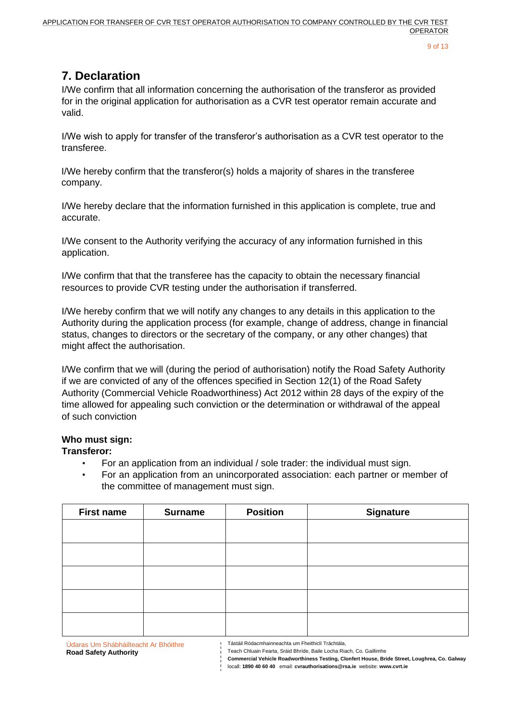# **7. Declaration**

I/We confirm that all information concerning the authorisation of the transferor as provided for in the original application for authorisation as a CVR test operator remain accurate and valid.

I/We wish to apply for transfer of the transferor's authorisation as a CVR test operator to the transferee.

I/We hereby confirm that the transferor(s) holds a majority of shares in the transferee company.

I/We hereby declare that the information furnished in this application is complete, true and accurate.

I/We consent to the Authority verifying the accuracy of any information furnished in this application.

I/We confirm that that the transferee has the capacity to obtain the necessary financial resources to provide CVR testing under the authorisation if transferred.

I/We hereby confirm that we will notify any changes to any details in this application to the Authority during the application process (for example, change of address, change in financial status, changes to directors or the secretary of the company, or any other changes) that might affect the authorisation.

I/We confirm that we will (during the period of authorisation) notify the Road Safety Authority if we are convicted of any of the offences specified in Section 12(1) of the Road Safety Authority (Commercial Vehicle Roadworthiness) Act 2012 within 28 days of the expiry of the time allowed for appealing such conviction or the determination or withdrawal of the appeal of such conviction

## **Who must sign:**

### **Transferor:**

- For an application from an individual / sole trader: the individual must sign.
- For an application from an unincorporated association: each partner or member of the committee of management must sign.

| <b>First name</b> | <b>Surname</b> | <b>Position</b> | <b>Signature</b> |
|-------------------|----------------|-----------------|------------------|
|                   |                |                 |                  |
|                   |                |                 |                  |
|                   |                |                 |                  |
|                   |                |                 |                  |
|                   |                |                 |                  |
|                   |                |                 |                  |
| $\epsilon$        |                |                 |                  |

Teach Chluain Fearta, Sráid Bhríde, Baile Locha Riach, Co. Gaillimhe

**Commercial Vehicle Roadworthiness Testing, Clonfert House, Bride Street, Loughrea, Co. Galway**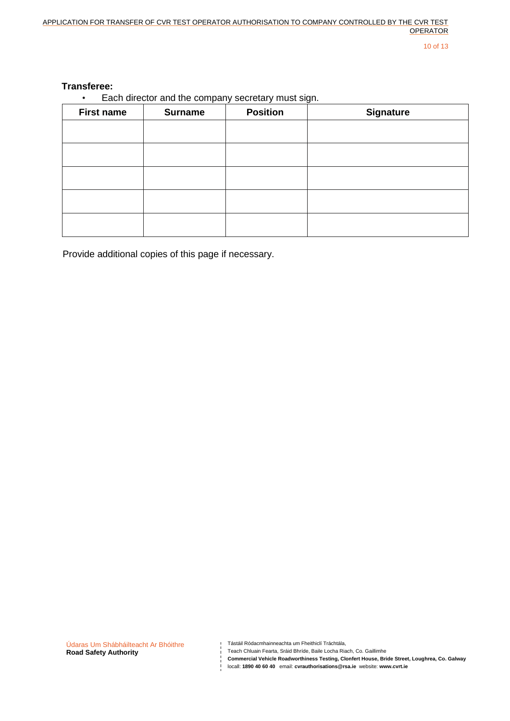10 of 13

### **Transferee:**

• Each director and the company secretary must sign.

| <b>First name</b> | <b>Surname</b> | <b>Position</b><br><b>Signature</b> |  |
|-------------------|----------------|-------------------------------------|--|
|                   |                |                                     |  |
|                   |                |                                     |  |
|                   |                |                                     |  |
|                   |                |                                     |  |
|                   |                |                                     |  |

Provide additional copies of this page if necessary.

Údaras Um Shábháilteacht Ar Bhóithre **Road Safety Authority**

Tástáil Ródacmhainneachta um Fheithiclí Tráchtála,

Teach Chluain Fearta, Sráid Bhríde, Baile Locha Riach, Co. Gaillimhe

**Commercial Vehicle Roadworthiness Testing, Clonfert House, Bride Street, Loughrea, Co. Galway Commercial Vehicle Roadworthiness Testing, Clonfert House, Bride Street<br>coll: 1890 40 60 40 email: cvrauthorisations@rsa.ie website: www.cvrt.ie**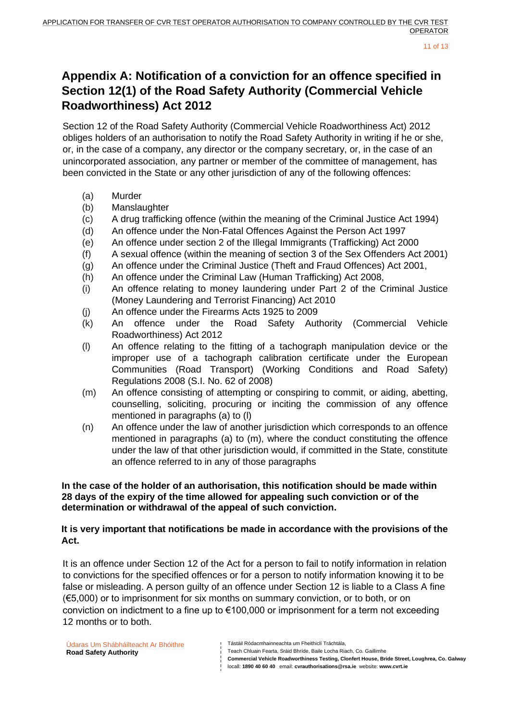11 of 13

## **Appendix A: Notification of a conviction for an offence specified in Section 12(1) of the Road Safety Authority (Commercial Vehicle Roadworthiness) Act 2012**

Section 12 of the Road Safety Authority (Commercial Vehicle Roadworthiness Act) 2012 obliges holders of an authorisation to notify the Road Safety Authority in writing if he or she, or, in the case of a company, any director or the company secretary, or, in the case of an unincorporated association, any partner or member of the committee of management, has been convicted in the State or any other jurisdiction of any of the following offences:

- (a) Murder
- (b) Manslaughter
- (c) A drug trafficking offence (within the meaning of the Criminal Justice Act 1994)
- (d) An offence under the Non-Fatal Offences Against the Person Act 1997
- (e) An offence under section 2 of the Illegal Immigrants (Trafficking) Act 2000
- (f) A sexual offence (within the meaning of section 3 of the Sex Offenders Act 2001)
- (g) An offence under the Criminal Justice (Theft and Fraud Offences) Act 2001,
- (h) An offence under the Criminal Law (Human Trafficking) Act 2008,
- (i) An offence relating to money laundering under Part 2 of the Criminal Justice (Money Laundering and Terrorist Financing) Act 2010
- (j) An offence under the Firearms Acts 1925 to 2009
- (k) An offence under the Road Safety Authority (Commercial Vehicle Roadworthiness) Act 2012
- (l) An offence relating to the fitting of a tachograph manipulation device or the improper use of a tachograph calibration certificate under the European Communities (Road Transport) (Working Conditions and Road Safety) Regulations 2008 (S.I. No. 62 of 2008)
- (m) An offence consisting of attempting or conspiring to commit, or aiding, abetting, counselling, soliciting, procuring or inciting the commission of any offence mentioned in paragraphs (a) to (l)
- (n) An offence under the law of another jurisdiction which corresponds to an offence mentioned in paragraphs (a) to (m), where the conduct constituting the offence under the law of that other jurisdiction would, if committed in the State, constitute an offence referred to in any of those paragraphs

### **In the case of the holder of an authorisation, this notification should be made within 28 days of the expiry of the time allowed for appealing such conviction or of the determination or withdrawal of the appeal of such conviction.**

### **It is very important that notifications be made in accordance with the provisions of the Act.**

It is an offence under Section 12 of the Act for a person to fail to notify information in relation to convictions for the specified offences or for a person to notify information knowing it to be false or misleading. A person guilty of an offence under Section 12 is liable to a Class A fine (€5,000) or to imprisonment for six months on summary conviction, or to both, or on conviction on indictment to a fine up to €100,000 or imprisonment for a term not exceeding 12 months or to both.

- **Commercial Vehicle Roadworthiness Testing, Clonfert House, Bride Street, Loughrea, Co. Galway**
- locall: **1890 40 60 40** email: **cvrauthorisations@rsa.ie** website: **www.cvrt.ie**

Tástáil Ródacmhainneachta um Fheithiclí Tráchtála,

Teach Chluain Fearta, Sráid Bhríde, Baile Locha Riach, Co. Gaillimhe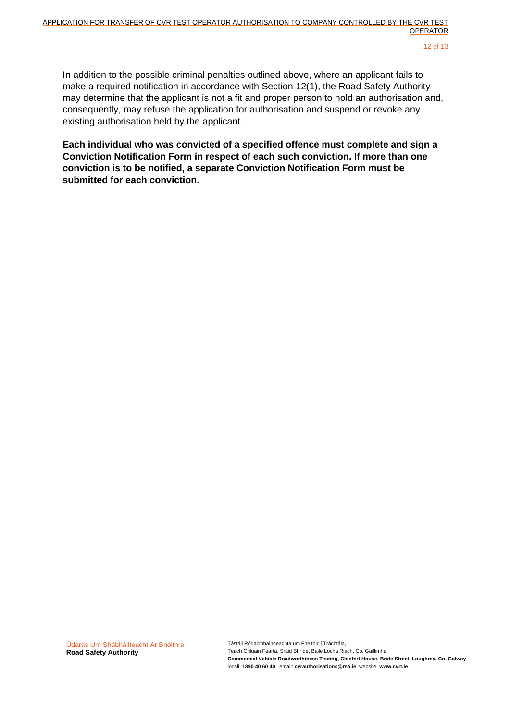In addition to the possible criminal penalties outlined above, where an applicant fails to make a required notification in accordance with Section 12(1), the Road Safety Authority may determine that the applicant is not a fit and proper person to hold an authorisation and, consequently, may refuse the application for authorisation and suspend or revoke any existing authorisation held by the applicant.

**Each individual who was convicted of a specified offence must complete and sign a Conviction Notification Form in respect of each such conviction. If more than one conviction is to be notified, a separate Conviction Notification Form must be submitted for each conviction.**

Tástáil Ródacmhainneachta um Fheithiclí Tráchtála,

Teach Chluain Fearta, Sráid Bhríde, Baile Locha Riach, Co. Gaillimhe

**Commercial Vehicle Roadworthiness Testing, Clonfert House, Bride Street, Loughrea, Co. Galway**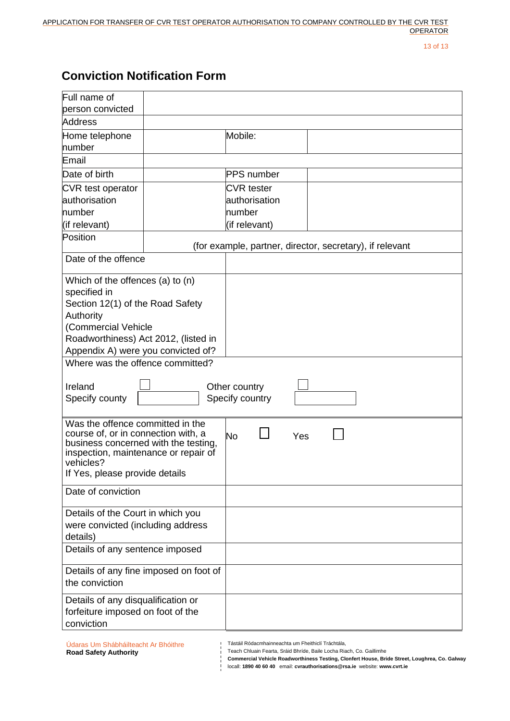13 of 13

# **Conviction Notification Form**

| Full name of                                                                |  |                   |                                                          |  |
|-----------------------------------------------------------------------------|--|-------------------|----------------------------------------------------------|--|
| person convicted                                                            |  |                   |                                                          |  |
| Address                                                                     |  |                   |                                                          |  |
| Home telephone<br>number                                                    |  | Mobile:           |                                                          |  |
| Email                                                                       |  |                   |                                                          |  |
| Date of birth                                                               |  | <b>PPS</b> number |                                                          |  |
| CVR test operator                                                           |  | <b>CVR</b> tester |                                                          |  |
| lauthorisation                                                              |  | authorisation     |                                                          |  |
| number                                                                      |  | number            |                                                          |  |
| (if relevant)                                                               |  | (if relevant)     |                                                          |  |
| Position                                                                    |  |                   | (for example, partner, director, secretary), if relevant |  |
| Date of the offence                                                         |  |                   |                                                          |  |
| Which of the offences (a) to (n)                                            |  |                   |                                                          |  |
| specified in                                                                |  |                   |                                                          |  |
| Section 12(1) of the Road Safety                                            |  |                   |                                                          |  |
| Authority                                                                   |  |                   |                                                          |  |
| (Commercial Vehicle                                                         |  |                   |                                                          |  |
| Roadworthiness) Act 2012, (listed in                                        |  |                   |                                                          |  |
| Appendix A) were you convicted of?<br>Where was the offence committed?      |  |                   |                                                          |  |
|                                                                             |  |                   |                                                          |  |
| Ireland<br>Other country                                                    |  |                   |                                                          |  |
| Specify county<br>Specify country                                           |  |                   |                                                          |  |
| Was the offence committed in the                                            |  |                   |                                                          |  |
| course of, or in connection with, a<br>business concerned with the testing, |  | No<br>Yes         |                                                          |  |
|                                                                             |  |                   |                                                          |  |
| inspection, maintenance or repair of<br>vehicles?                           |  |                   |                                                          |  |
| If Yes, please provide details                                              |  |                   |                                                          |  |
| Date of conviction                                                          |  |                   |                                                          |  |
| Details of the Court in which you                                           |  |                   |                                                          |  |
| were convicted (including address                                           |  |                   |                                                          |  |
| details)                                                                    |  |                   |                                                          |  |
| Details of any sentence imposed                                             |  |                   |                                                          |  |
| Details of any fine imposed on foot of                                      |  |                   |                                                          |  |
| the conviction                                                              |  |                   |                                                          |  |
| Details of any disqualification or                                          |  |                   |                                                          |  |
| forfeiture imposed on foot of the                                           |  |                   |                                                          |  |
| conviction                                                                  |  |                   |                                                          |  |

Údaras Um Shábháilteacht Ar Bhóithre **Road Safety Authority**

Tástáil Ródacmhainneachta um Fheithiclí Tráchtála,<br>Teach Chluain Fearta, Sráid Bhríde, Baile Locha Dia Teach Chluain Fearta, Sráid Bhríde, Baile Locha Riach, Co. Gaillimhe

**Commercial Vehicle Roadworthiness Testing, Clonfert House, Bride Street, Loughrea, Co. Galway**  $\frac{1}{1}$